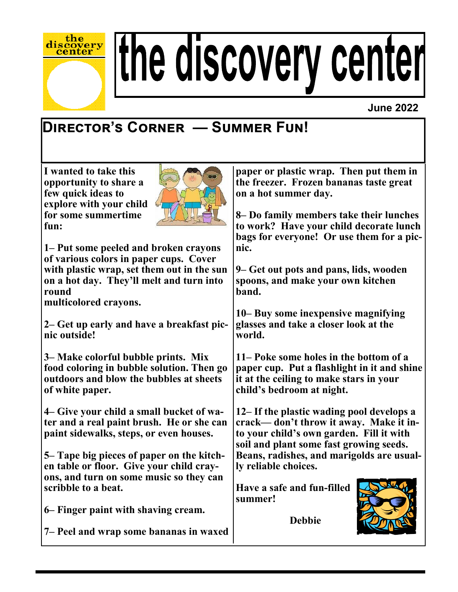

# the discovery center

#### **June 2022**

## **Director's Corner — Summer Fun!**

**I wanted to take this opportunity to share a few quick ideas to explore with your child for some summertime fun:**



**1– Put some peeled and broken crayons of various colors in paper cups. Cover with plastic wrap, set them out in the sun on a hot day. They'll melt and turn into round** 

**multicolored crayons.**

**2– Get up early and have a breakfast picnic outside!**

**3– Make colorful bubble prints. Mix food coloring in bubble solution. Then go outdoors and blow the bubbles at sheets of white paper.**

**4– Give your child a small bucket of water and a real paint brush. He or she can paint sidewalks, steps, or even houses.**

**5– Tape big pieces of paper on the kitchen table or floor. Give your child crayons, and turn on some music so they can scribble to a beat.**

**6– Finger paint with shaving cream.**

**7– Peel and wrap some bananas in waxed** 

**paper or plastic wrap. Then put them in the freezer. Frozen bananas taste great on a hot summer day.**

**8– Do family members take their lunches to work? Have your child decorate lunch bags for everyone! Or use them for a picnic.**

**9– Get out pots and pans, lids, wooden spoons, and make your own kitchen band.**

**10– Buy some inexpensive magnifying glasses and take a closer look at the world.**

**11– Poke some holes in the bottom of a paper cup. Put a flashlight in it and shine it at the ceiling to make stars in your child's bedroom at night.**

**12– If the plastic wading pool develops a crack— don't throw it away. Make it into your child's own garden. Fill it with soil and plant some fast growing seeds. Beans, radishes, and marigolds are usually reliable choices.**

**Have a safe and fun-filled summer!**

 **Debbie**